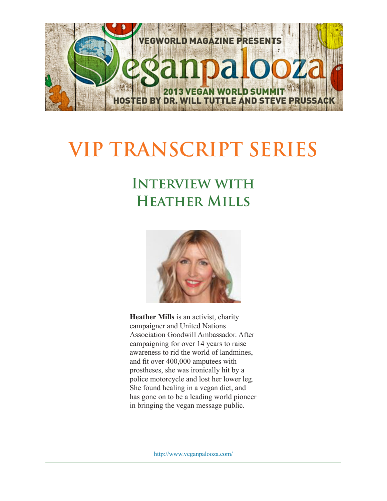

## **VIP TRANSCRIPT SERIES**

## **Interview with Heather Mills**



**Heather Mills** is an activist, charity campaigner and United Nations Association Goodwill Ambassador. After campaigning for over 14 years to raise awareness to rid the world of landmines, and fit over 400,000 amputees with prostheses, she was ironically hit by a police motorcycle and lost her lower leg. She found healing in a vegan diet, and has gone on to be a leading world pioneer in bringing the vegan message public.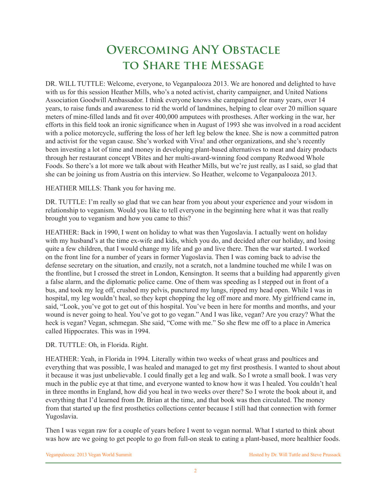## **Overcoming ANY Obstacle to Share the Message**

DR. WILL TUTTLE: Welcome, everyone, to Veganpalooza 2013. We are honored and delighted to have with us for this session Heather Mills, who's a noted activist, charity campaigner, and United Nations Association Goodwill Ambassador. I think everyone knows she campaigned for many years, over 14 years, to raise funds and awareness to rid the world of landmines, helping to clear over 20 million square meters of mine-filled lands and fit over 400,000 amputees with prostheses. After working in the war, her efforts in this field took an ironic significance when in August of 1993 she was involved in a road accident with a police motorcycle, suffering the loss of her left leg below the knee. She is now a committed patron and activist for the vegan cause. She's worked with Viva! and other organizations, and she's recently been investing a lot of time and money in developing plant-based alternatives to meat and dairy products through her restaurant concept VBites and her multi-award-winning food company Redwood Whole Foods. So there's a lot more we talk about with Heather Mills, but we're just really, as I said, so glad that she can be joining us from Austria on this interview. So Heather, welcome to Veganpalooza 2013.

HEATHER MILLS: Thank you for having me.

DR. TUTTLE: I'm really so glad that we can hear from you about your experience and your wisdom in relationship to veganism. Would you like to tell everyone in the beginning here what it was that really brought you to veganism and how you came to this?

HEATHER: Back in 1990, I went on holiday to what was then Yugoslavia. I actually went on holiday with my husband's at the time ex-wife and kids, which you do, and decided after our holiday, and losing quite a few children, that I would change my life and go and live there. Then the war started. I worked on the front line for a number of years in former Yugoslavia. Then I was coming back to advise the defense secretary on the situation, and crazily, not a scratch, not a landmine touched me while I was on the frontline, but I crossed the street in London, Kensington. It seems that a building had apparently given a false alarm, and the diplomatic police came. One of them was speeding as I stepped out in front of a bus, and took my leg off, crushed my pelvis, punctured my lungs, ripped my head open. While I was in hospital, my leg wouldn't heal, so they kept chopping the leg off more and more. My girlfriend came in, said, "Look, you've got to get out of this hospital. You've been in here for months and months, and your wound is never going to heal. You've got to go vegan." And I was like, vegan? Are you crazy? What the heck is vegan? Vegan, schmegan. She said, "Come with me." So she flew me off to a place in America called Hippocrates. This was in 1994.

DR. TUTTLE: Oh, in Florida. Right.

HEATHER: Yeah, in Florida in 1994. Literally within two weeks of wheat grass and poultices and everything that was possible, I was healed and managed to get my first prosthesis. I wanted to shout about it because it was just unbelievable. I could finally get a leg and walk. So I wrote a small book. I was very much in the public eye at that time, and everyone wanted to know how it was I healed. You couldn't heal in three months in England, how did you heal in two weeks over there? So I wrote the book about it, and everything that I'd learned from Dr. Brian at the time, and that book was then circulated. The money from that started up the first prosthetics collections center because I still had that connection with former Yugoslavia.

Then I was vegan raw for a couple of years before I went to vegan normal. What I started to think about was how are we going to get people to go from full-on steak to eating a plant-based, more healthier foods.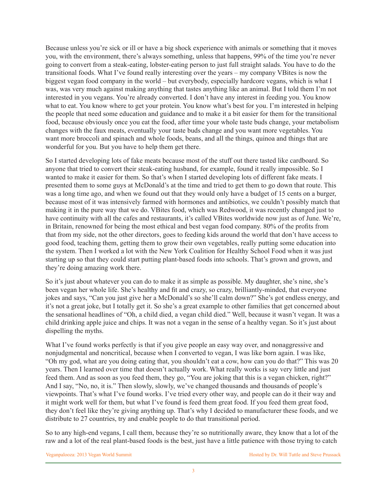Because unless you're sick or ill or have a big shock experience with animals or something that it moves you, with the environment, there's always something, unless that happens, 99% of the time you're never going to convert from a steak-eating, lobster-eating person to just full straight salads. You have to do the transitional foods. What I've found really interesting over the years – my company VBites is now the biggest vegan food company in the world – but everybody, especially hardcore vegans, which is what I was, was very much against making anything that tastes anything like an animal. But I told them I'm not interested in you vegans. You're already converted. I don't have any interest in feeding you. You know what to eat. You know where to get your protein. You know what's best for you. I'm interested in helping the people that need some education and guidance and to make it a bit easier for them for the transitional food, because obviously once you eat the food, after time your whole taste buds change, your metabolism changes with the faux meats, eventually your taste buds change and you want more vegetables. You want more broccoli and spinach and whole foods, beans, and all the things, quinoa and things that are wonderful for you. But you have to help them get there.

So I started developing lots of fake meats because most of the stuff out there tasted like cardboard. So anyone that tried to convert their steak-eating husband, for example, found it really impossible. So I wanted to make it easier for them. So that's when I started developing lots of different fake meats. I presented them to some guys at McDonald's at the time and tried to get them to go down that route. This was a long time ago, and when we found out that they would only have a budget of 15 cents on a burger, because most of it was intensively farmed with hormones and antibiotics, we couldn't possibly match that making it in the pure way that we do. VBites food, which was Redwood, it was recently changed just to have continuity with all the cafes and restaurants, it's called VBites worldwide now just as of June. We're, in Britain, renowned for being the most ethical and best vegan food company. 80% of the profits from that from my side, not the other directors, goes to feeding kids around the world that don't have access to good food, teaching them, getting them to grow their own vegetables, really putting some education into the system. Then I worked a lot with the New York Coalition for Healthy School Food when it was just starting up so that they could start putting plant-based foods into schools. That's grown and grown, and they're doing amazing work there.

So it's just about whatever you can do to make it as simple as possible. My daughter, she's nine, she's been vegan her whole life. She's healthy and fit and crazy, so crazy, brilliantly-minded, that everyone jokes and says, "Can you just give her a McDonald's so she'll calm down?" She's got endless energy, and it's not a great joke, but I totally get it. So she's a great example to other families that get concerned about the sensational headlines of "Oh, a child died, a vegan child died." Well, because it wasn't vegan. It was a child drinking apple juice and chips. It was not a vegan in the sense of a healthy vegan. So it's just about dispelling the myths.

What I've found works perfectly is that if you give people an easy way over, and nonaggressive and nonjudgmental and noncritical, because when I converted to vegan, I was like born again. I was like, "Oh my god, what are you doing eating that, you shouldn't eat a cow, how can you do that?" This was 20 years. Then I learned over time that doesn't actually work. What really works is say very little and just feed them. And as soon as you feed them, they go, "You are joking that this is a vegan chicken, right?" And I say, "No, no, it is." Then slowly, slowly, we've changed thousands and thousands of people's viewpoints. That's what I've found works. I've tried every other way, and people can do it their way and it might work well for them, but what I've found is feed them great food. If you feed them great food, they don't feel like they're giving anything up. That's why I decided to manufacturer these foods, and we distribute to 27 countries, try and enable people to do that transitional period.

So to any high-end vegans, I call them, because they're so nutritionally aware, they know that a lot of the raw and a lot of the real plant-based foods is the best, just have a little patience with those trying to catch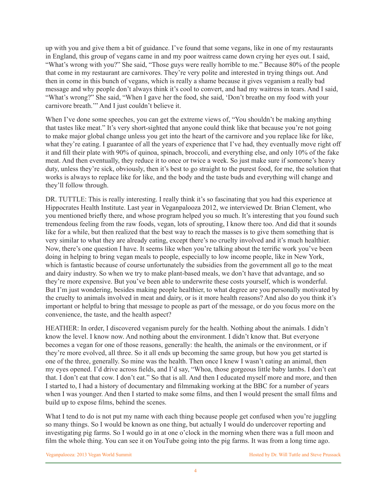up with you and give them a bit of guidance. I've found that some vegans, like in one of my restaurants in England, this group of vegans came in and my poor waitress came down crying her eyes out. I said, "What's wrong with you?" She said, "Those guys were really horrible to me." Because 80% of the people that come in my restaurant are carnivores. They're very polite and interested in trying things out. And then in come in this bunch of vegans, which is really a shame because it gives veganism a really bad message and why people don't always think it's cool to convert, and had my waitress in tears. And I said, "What's wrong?" She said, "When I gave her the food, she said, 'Don't breathe on my food with your carnivore breath.'" And I just couldn't believe it.

When I've done some speeches, you can get the extreme views of, "You shouldn't be making anything that tastes like meat." It's very short-sighted that anyone could think like that because you're not going to make major global change unless you get into the heart of the carnivore and you replace like for like, what they're eating. I guarantee of all the years of experience that I've had, they eventually move right off it and fill their plate with 90% of quinoa, spinach, broccoli, and everything else, and only 10% of the fake meat. And then eventually, they reduce it to once or twice a week. So just make sure if someone's heavy duty, unless they're sick, obviously, then it's best to go straight to the purest food, for me, the solution that works is always to replace like for like, and the body and the taste buds and everything will change and they'll follow through.

DR. TUTTLE: This is really interesting. I really think it's so fascinating that you had this experience at Hippocrates Health Institute. Last year in Veganpalooza 2012, we interviewed Dr. Brian Clement, who you mentioned briefly there, and whose program helped you so much. It's interesting that you found such tremendous feeling from the raw foods, vegan, lots of sprouting, I know there too. And did that it sounds like for a while, but then realized that the best way to reach the masses is to give them something that is very similar to what they are already eating, except there's no cruelty involved and it's much healthier. Now, there's one question I have. It seems like when you're talking about the terrific work you've been doing in helping to bring vegan meals to people, especially to low income people, like in New York, which is fantastic because of course unfortunately the subsidies from the government all go to the meat and dairy industry. So when we try to make plant-based meals, we don't have that advantage, and so they're more expensive. But you've been able to underwrite these costs yourself, which is wonderful. But I'm just wondering, besides making people healthier, to what degree are you personally motivated by the cruelty to animals involved in meat and dairy, or is it more health reasons? And also do you think it's important or helpful to bring that message to people as part of the message, or do you focus more on the convenience, the taste, and the health aspect?

HEATHER: In order, I discovered veganism purely for the health. Nothing about the animals. I didn't know the level. I know now. And nothing about the environment. I didn't know that. But everyone becomes a vegan for one of those reasons, generally: the health, the animals or the environment, or if they're more evolved, all three. So it all ends up becoming the same group, but how you get started is one of the three, generally. So mine was the health. Then once I knew I wasn't eating an animal, then my eyes opened. I'd drive across fields, and I'd say, "Whoa, those gorgeous little baby lambs. I don't eat that. I don't eat that cow. I don't eat." So that is all. And then I educated myself more and more, and then I started to, I had a history of documentary and filmmaking working at the BBC for a number of years when I was younger. And then I started to make some films, and then I would present the small films and build up to expose films, behind the scenes.

What I tend to do is not put my name with each thing because people get confused when you're juggling so many things. So I would be known as one thing, but actually I would do undercover reporting and investigating pig farms. So I would go in at one o'clock in the morning when there was a full moon and film the whole thing. You can see it on YouTube going into the pig farms. It was from a long time ago.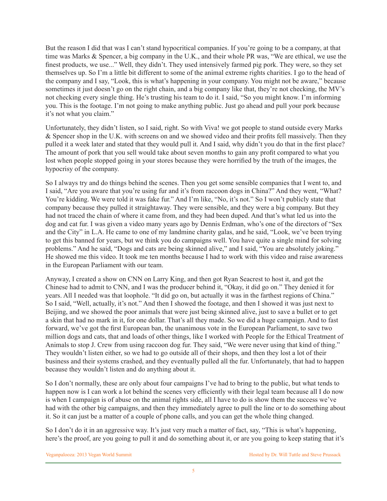But the reason I did that was I can't stand hypocritical companies. If you're going to be a company, at that time was Marks & Spencer, a big company in the U.K., and their whole PR was, "We are ethical, we use the finest products, we use..." Well, they didn't. They used intensively farmed pig pork. They were, so they set themselves up. So I'm a little bit different to some of the animal extreme rights charities. I go to the head of the company and I say, "Look, this is what's happening in your company. You might not be aware," because sometimes it just doesn't go on the right chain, and a big company like that, they're not checking, the MV's not checking every single thing. He's trusting his team to do it. I said, "So you might know. I'm informing you. This is the footage. I'm not going to make anything public. Just go ahead and pull your pork because it's not what you claim."

Unfortunately, they didn't listen, so I said, right. So with Viva! we got people to stand outside every Marks & Spencer shop in the U.K. with screens on and we showed video and their profits fell massively. Then they pulled it a week later and stated that they would pull it. And I said, why didn't you do that in the first place? The amount of pork that you sell would take about seven months to gain any profit compared to what you lost when people stopped going in your stores because they were horrified by the truth of the images, the hypocrisy of the company.

So I always try and do things behind the scenes. Then you get some sensible companies that I went to, and I said, "Are you aware that you're using fur and it's from raccoon dogs in China?" And they went, "What? You're kidding. We were told it was fake fur." And I'm like, "No, it's not." So I won't publicly state that company because they pulled it straightaway. They were sensible, and they were a big company. But they had not traced the chain of where it came from, and they had been duped. And that's what led us into the dog and cat fur. I was given a video many years ago by Dennis Erdman, who's one of the directors of "Sex and the City" in L.A. He came to one of my landmine charity galas, and he said, "Look, we've been trying to get this banned for years, but we think you do campaigns well. You have quite a single mind for solving problems." And he said, "Dogs and cats are being skinned alive," and I said, "You are absolutely joking." He showed me this video. It took me ten months because I had to work with this video and raise awareness in the European Parliament with our team.

Anyway, I created a show on CNN on Larry King, and then got Ryan Seacrest to host it, and got the Chinese had to admit to CNN, and I was the producer behind it, "Okay, it did go on." They denied it for years. All I needed was that loophole. "It did go on, but actually it was in the farthest regions of China." So I said, "Well, actually, it's not." And then I showed the footage, and then I showed it was just next to Beijing, and we showed the poor animals that were just being skinned alive, just to save a bullet or to get a skin that had no mark in it, for one dollar. That's all they made. So we did a huge campaign. And to fast forward, we've got the first European ban, the unanimous vote in the European Parliament, to save two million dogs and cats, that and loads of other things, like I worked with People for the Ethical Treatment of Animals to stop J. Crew from using raccoon dog fur. They said, "We were never using that kind of thing." They wouldn't listen either, so we had to go outside all of their shops, and then they lost a lot of their business and their systems crashed, and they eventually pulled all the fur. Unfortunately, that had to happen because they wouldn't listen and do anything about it.

So I don't normally, these are only about four campaigns I've had to bring to the public, but what tends to happen now is I can work a lot behind the scenes very efficiently with their legal team because all I do now is when I campaign is of abuse on the animal rights side, all I have to do is show them the success we've had with the other big campaigns, and then they immediately agree to pull the line or to do something about it. So it can just be a matter of a couple of phone calls, and you can get the whole thing changed.

So I don't do it in an aggressive way. It's just very much a matter of fact, say, "This is what's happening, here's the proof, are you going to pull it and do something about it, or are you going to keep stating that it's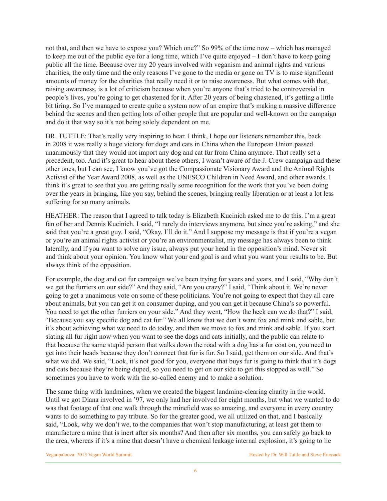not that, and then we have to expose you? Which one?" So 99% of the time now – which has managed to keep me out of the public eye for a long time, which I've quite enjoyed – I don't have to keep going public all the time. Because over my 20 years involved with veganism and animal rights and various charities, the only time and the only reasons I've gone to the media or gone on TV is to raise significant amounts of money for the charities that really need it or to raise awareness. But what comes with that, raising awareness, is a lot of criticism because when you're anyone that's tried to be controversial in people's lives, you're going to get chastened for it. After 20 years of being chastened, it's getting a little bit tiring. So I've managed to create quite a system now of an empire that's making a massive difference behind the scenes and then getting lots of other people that are popular and well-known on the campaign and do it that way so it's not being solely dependent on me.

DR. TUTTLE: That's really very inspiring to hear. I think, I hope our listeners remember this, back in 2008 it was really a huge victory for dogs and cats in China when the European Union passed unanimously that they would not import any dog and cat fur from China anymore. That really set a precedent, too. And it's great to hear about these others, I wasn't aware of the J. Crew campaign and these other ones, but I can see, I know you've got the Compassionate Visionary Award and the Animal Rights Activist of the Year Award 2008, as well as the UNESCO Children in Need Award, and other awards. I think it's great to see that you are getting really some recognition for the work that you've been doing over the years in bringing, like you say, behind the scenes, bringing really liberation or at least a lot less suffering for so many animals.

HEATHER: The reason that I agreed to talk today is Elizabeth Kucinich asked me to do this. I'm a great fan of her and Dennis Kucinich. I said, "I rarely do interviews anymore, but since you're asking," and she said that you're a great guy. I said, "Okay, I'll do it." And I suppose my message is that if you're a vegan or you're an animal rights activist or you're an environmentalist, my message has always been to think laterally, and if you want to solve any issue, always put your head in the opposition's mind. Never sit and think about your opinion. You know what your end goal is and what you want your results to be. But always think of the opposition.

For example, the dog and cat fur campaign we've been trying for years and years, and I said, "Why don't we get the furriers on our side?" And they said, "Are you crazy?" I said, "Think about it. We're never going to get a unanimous vote on some of these politicians. You're not going to expect that they all care about animals, but you can get it on consumer duping, and you can get it because China's so powerful. You need to get the other furriers on your side." And they went, "How the heck can we do that?" I said, "Because you say specific dog and cat fur." We all know that we don't want fox and mink and sable, but it's about achieving what we need to do today, and then we move to fox and mink and sable. If you start slating all fur right now when you want to see the dogs and cats initially, and the public can relate to that because the same stupid person that walks down the road with a dog has a fur coat on, you need to get into their heads because they don't connect that fur is fur. So I said, get them on our side. And that's what we did. We said, "Look, it's not good for you, everyone that buys fur is going to think that it's dogs and cats because they're being duped, so you need to get on our side to get this stopped as well." So sometimes you have to work with the so-called enemy and to make a solution.

The same thing with landmines, when we created the biggest landmine-clearing charity in the world. Until we got Diana involved in '97, we only had her involved for eight months, but what we wanted to do was that footage of that one walk through the minefield was so amazing, and everyone in every country wants to do something to pay tribute. So for the greater good, we all utilized on that, and I basically said, "Look, why we don't we, to the companies that won't stop manufacturing, at least get them to manufacture a mine that is inert after six months? And then after six months, you can safely go back to the area, whereas if it's a mine that doesn't have a chemical leakage internal explosion, it's going to lie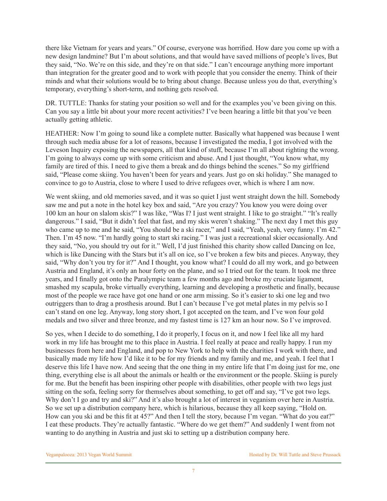there like Vietnam for years and years." Of course, everyone was horrified. How dare you come up with a new design landmine? But I'm about solutions, and that would have saved millions of people's lives, But they said, "No. We're on this side, and they're on that side." I can't encourage anything more important than integration for the greater good and to work with people that you consider the enemy. Think of their minds and what their solutions would be to bring about change. Because unless you do that, everything's temporary, everything's short-term, and nothing gets resolved.

DR. TUTTLE: Thanks for stating your position so well and for the examples you've been giving on this. Can you say a little bit about your more recent activities? I've been hearing a little bit that you've been actually getting athletic.

HEATHER: Now I'm going to sound like a complete nutter. Basically what happened was because I went through such media abuse for a lot of reasons, because I investigated the media, I got involved with the Leveson Inquiry exposing the newspapers, all that kind of stuff, because I'm all about righting the wrong. I'm going to always come up with some criticism and abuse. And I just thought, "You know what, my family are tired of this. I need to give them a break and do things behind the scenes." So my girlfriend said, "Please come skiing. You haven't been for years and years. Just go on ski holiday." She managed to convince to go to Austria, close to where I used to drive refugees over, which is where I am now.

We went skiing, and old memories saved, and it was so quiet I just went straight down the hill. Somebody saw me and put a note in the hotel key box and said, "Are you crazy? You know you were doing over 100 km an hour on slalom skis?" I was like, "Was I? I just went straight. I like to go straight." "It's really dangerous." I said, "But it didn't feel that fast, and my skis weren't shaking." The next day I met this guy who came up to me and he said, "You should be a ski racer," and I said, "Yeah, yeah, very funny. I'm 42." Then. I'm 45 now. "I'm hardly going to start ski racing." I was just a recreational skier occasionally. And they said, "No, you should try out for it." Well, I'd just finished this charity show called Dancing on Ice, which is like Dancing with the Stars but it's all on ice, so I've broken a few bits and pieces. Anyway, they said, "Why don't you try for it?" And I thought, you know what? I could do all my work, and go between Austria and England, it's only an hour forty on the plane, and so I tried out for the team. It took me three years, and I finally got onto the Paralympic team a few months ago and broke my cruciate ligament, smashed my scapula, broke virtually everything, learning and developing a prosthetic and finally, because most of the people we race have got one hand or one arm missing. So it's easier to ski one leg and two outriggers than to drag a prosthesis around. But I can't because I've got metal plates in my pelvis so I can't stand on one leg. Anyway, long story short, I got accepted on the team, and I've won four gold medals and two silver and three bronze, and my fastest time is 127 km an hour now. So I've improved.

So yes, when I decide to do something, I do it properly, I focus on it, and now I feel like all my hard work in my life has brought me to this place in Austria. I feel really at peace and really happy. I run my businesses from here and England, and pop to New York to help with the charities I work with there, and basically made my life how I'd like it to be for my friends and my family and me, and yeah. I feel that I deserve this life I have now. And seeing that the one thing in my entire life that I'm doing just for me, one thing, everything else is all about the animals or health or the environment or the people. Skiing is purely for me. But the benefit has been inspiring other people with disabilities, other people with two legs just sitting on the sofa, feeling sorry for themselves about something, to get off and say, "I've got two legs. Why don't I go and try and ski?" And it's also brought a lot of interest in veganism over here in Austria. So we set up a distribution company here, which is hilarious, because they all keep saying, "Hold on. How can you ski and be this fit at 45?" And then I tell the story, because I'm vegan. "What do you eat?" I eat these products. They're actually fantastic. "Where do we get them?" And suddenly I went from not wanting to do anything in Austria and just ski to setting up a distribution company here.